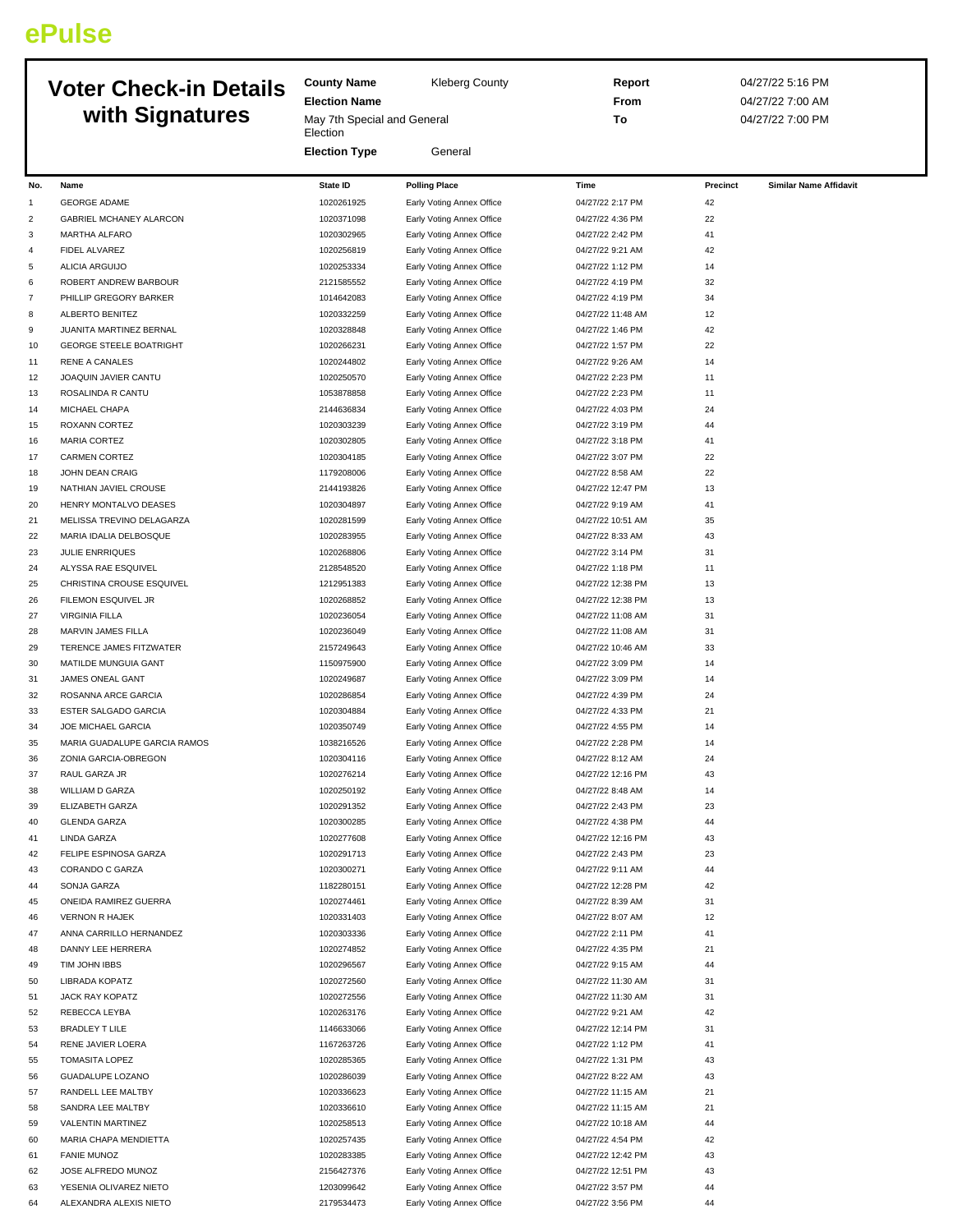## **ePulse**

## **County Name** Kleberg County **Election Name** May 7th Special and General Election **Election Type** General **Report** 04/27/22 5:16 PM **From** 04/27/22 7:00 AM **To** 04/27/22 7:00 PM **Voter Check-in Details with Signatures No. Name State ID Polling Place Time Precinct Similar Name Affidavit** 1 GEORGE ADAME 1020261925 Early Voting Annex Office 04/27/22 2:17 PM 42 2 GABRIEL MCHANEY ALARCON 1020371098 Early Voting Annex Office 04/27/22 4:36 PM 22 3 MARTHA ALFARO 1020302965 Early Voting Annex Office 04/27/22 2:42 PM 41 4 FIDEL ALVAREZ 1020256819 Early Voting Annex Office 04/27/22 9:21 AM 42 5 ALICIA ARGUIJO 1020253334 Early Voting Annex Office 04/27/22 1:12 PM 14 6 ROBERT ANDREW BARBOUR 2121585552 Early Voting Annex Office 04/27/22 4:19 PM 32 7 PHILLIP GREGORY BARKER 1011 1014642083 Early Voting Annex Office 04/27/22 4:19 PM 34 8 ALBERTO BENITEZ 1020332259 Early Voting Annex Office 04/27/22 11:48 AM 12 9 JUANITA MARTINEZ BERNAL 1020328848 Early Voting Annex Office 04/27/22 1:46 PM 42 10 GEORGE STEELE BOATRIGHT 1020266231 Early Voting Annex Office 04/27/22 1:57 PM 22 11 RENE A CANALES 1020244802 Early Voting Annex Office 04/27/22 9:26 AM 14 12 JOAQUIN JAVIER CANTU 1020250570 Early Voting Annex Office 04/27/22 2:23 PM 11 13 ROSALINDA R CANTU 11 1053878858 Early Voting Annex Office 04/27/22 2:23 PM 11 14 MICHAEL CHAPA 2144636834 Early Voting Annex Office 04/27/22 4:03 PM 24 15 ROXANN CORTEZ 1020303239 Early Voting Annex Office 04/27/22 3:19 PM 44 16 MARIA CORTEZ 1020302805 Early Voting Annex Office 04/27/22 3:18 PM 41 17 CARMEN CORTEZ 23:07 PM 22 18 JOHN DEAN CRAIG 1179208006 Early Voting Annex Office 04/27/22 8:58 AM 22 19 NATHIAN JAVIEL CROUSE 2144193826 Early Voting Annex Office 04/27/22 12:47 PM 13 20 HENRY MONTALVO DEASES 1020304897 Early Voting Annex Office 04/27/22 9:19 AM 41 21 MELISSA TREVINO DELAGARZA 1020281599 Early Voting Annex Office 04/27/22 10:51 AM 35 22 MARIA IDALIA DELBOSQUE 1020 1020283955 Early Voting Annex Office 104/27/22 8:33 AM 43 23 JULIE ENRRIOUES 200200205 1020268806 Early Voting Annex Office 04/27/22 3:14 PM 31 24 ALYSSA RAE ESQUIVEL **2128548520** Early Voting Annex Office 04/27/22 1:18 PM 11 25 CHRISTINA CROUSE ESQUIVEL 1212951383 Early Voting Annex Office 04/27/22 12:38 PM 13 26 FILEMON ESQUIVEL JR 1020268852 Early Voting Annex Office 04/27/22 12:38 PM 13 27 VIRGINIA FILLA 1020236054 Early Voting Annex Office 04/27/22 11:08 AM 31 28 MARVIN JAMES FILLA 1020236049 Early Voting Annex Office 04/27/22 11:08 AM 31 29 TERENCE JAMES FITZWATER 2157249643 Early Voting Annex Office 04/27/22 10:46 AM 33 30 MATILDE MUNGUIA GANT 14 1150975900 Early Voting Annex Office 04/27/22 3:09 PM 14 31 JAMES ONEAL GANT 1020249687 Early Voting Annex Office 04/27/22 3:09 PM 14 32 ROSANNA ARCE GARCIA 1020286854 Early Voting Annex Office 04/27/22 4:39 PM 24 33 ESTER SALGADO GARCIA 1020304884 Early Voting Annex Office 04/27/22 4:33 PM 21 34 JOE MICHAEL GARCIA 1020350749 Early Voting Annex Office 04/27/22 4:55 PM 14 35 MARIA GUADALUPE GARCIA RAMOS 1038216526 Early Voting Annex Office 04/27/22 2:28 PM 14 36 ZONIA GARCIA-OBREGON 1020304116 Early Voting Annex Office 04/27/22 8:12 AM 24 37 RAUL GARZA JR 1020276214 Early Voting Annex Office 04/27/22 12:16 PM 43 38 WILLIAM D GARZA 14 CHARA 14 1020250192 Early Voting Annex Office 04/27/22 8:48 AM 14 39 ELIZABETH GARZA 1020291352 Early Voting Annex Office 04/27/22 2:43 PM 23 40 GLENDA GARZA 1020300285 Early Voting Annex Office 04/27/22 4:38 PM 44 41 LINDA GARZA 1020277608 Early Voting Annex Office 04/27/22 12:16 PM 43 42 FELIPE ESPINOSA GARZA 1020291713 Early Voting Annex Office 04/27/22 2:43 PM 23 43 CORANDO C GARZA 1020300271 Early Voting Annex Office 04/27/22 9:11 AM 44 44 SONJA GARZA 1182280151 Early Voting Annex Office 04/27/22 12:28 PM 42 45 ONEIDA RAMIREZ GUERRA 1020274461 Early Voting Annex Office 04/27/22 8:39 AM 31 46 VERNON R HAJEK 12 12 120331403 Early Voting Annex Office 04/27/22 8:07 AM 12 47 ANNA CARRILLO HERNANDEZ 1020303336 Early Voting Annex Office 04/27/22 2:11 PM 41 48 DANNY LEE HERRERA 1020274852 Early Voting Annex Office 04/27/22 4:35 PM 21 49 TIM JOHN IBBS 1020296567 Early Voting Annex Office 04/27/22 9:15 AM 44 50 LIBRADA KOPATZ 1020272560 Early Voting Annex Office 10202722 11:30 AM 31 51 JACK RAY KOPATZ **1020272556** Early Voting Annex Office 04/27/22 11:30 AM 31 52 REBECCA LEYBA 1020263176 Early Voting Annex Office 04/27/22 9:21 AM 42 53 BRADLEY T LILE 1146633066 Early Voting Annex Office 04/27/22 12:14 PM 31 54 RENE JAVIER LOERA 1167263726 Early Voting Annex Office 04/27/22 1:12 PM 41 55 TOMASITA LOPEZ 1020285365 Early Voting Annex Office 04/27/22 1:31 PM 43 56 GUADALUPE LOZANO 1020286039 Early Voting Annex Office 04/27/22 8:22 AM 43

57 RANDELL LEE MALTBY 1020336623 Early Voting Annex Office 04/27/22 11:15 AM 21 58 SANDRA LEE MALTBY 1020336610 Early Voting Annex Office 04/27/22 11:15 AM 21 59 VALENTIN MARTINEZ 1020258513 Early Voting Annex Office 04/27/22 10:18 AM 44 60 MARIA CHAPA MENDIETTA 1020257435 Early Voting Annex Office 04/27/22 4:54 PM 42 61 FANIE MUNOZ 1020283385 Early Voting Annex Office 04/27/22 12:42 PM 43

62 JOSE ALFREDO MUNOZ 2156427376 Early Voting Annex Office 3427/22 12:51 PM 43 63 YESENIA OLIVAREZ NIETO 1203099642 Early Voting Annex Office 04/27/22 3:57 PM 44 64 ALEXANDRA ALEXIS NIETO 2179534473 Early Voting Annex Office 04/27/22 3:56 PM 44